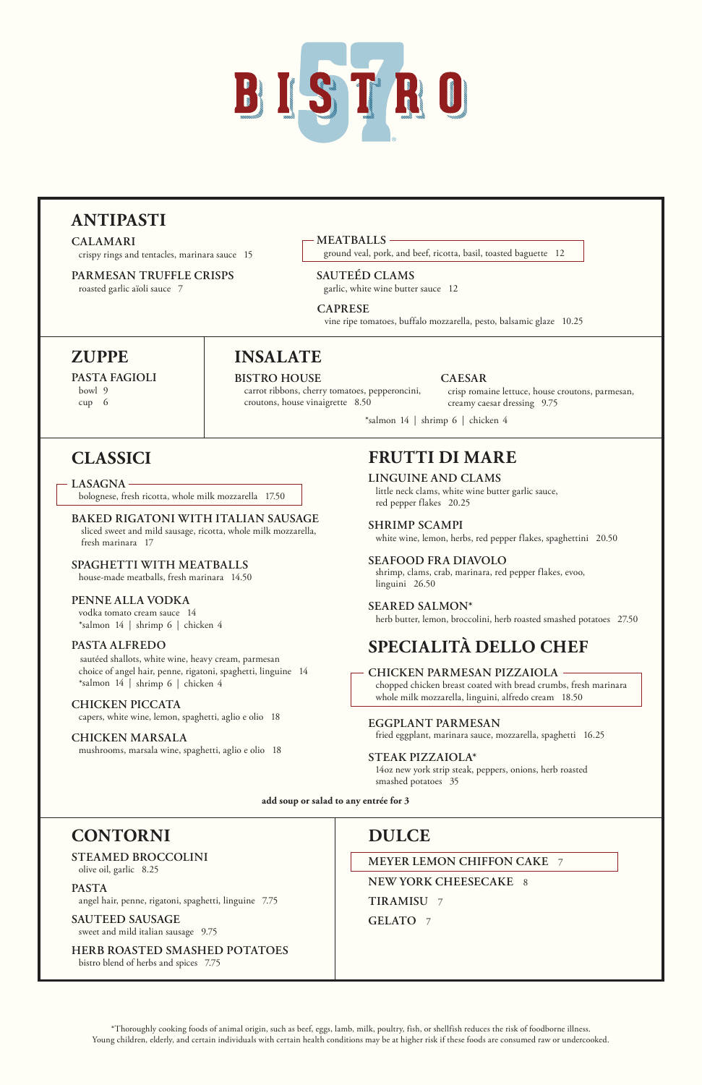\*Thoroughly cooking foods of animal origin, such as beef, eggs, lamb, milk, poultry, fish, or shellfish reduces the risk of foodborne illness. Young children, elderly, and certain individuals with certain health conditions may be at higher risk if these foods are consumed raw or undercooked.

### **CONTORNI**

#### **STEAMED BROCCOLINI**

olive oil, garlic 8.25

#### **PASTA**

angel hair, penne, rigatoni, spaghetti, linguine 7.75

**SAUTEED SAUSAGE** sweet and mild italian sausage 9.75

**HERB ROASTED SMASHED POTATOES**

bistro blend of herbs and spices 7.75

### **DULCE**

**MEYER LEMON CHIFFON CAKE** 7

**NEW YORK CHEESECAKE** 8

**TIRAMISU** 7

**GELATO** 7

# **FRUTTI DI MARE**

**LINGUINE AND CLAMS** little neck clams, white wine butter garlic sauce, red pepper flakes 20.25

#### **SHRIMP SCAMPI**

white wine, lemon, herbs, red pepper flakes, spaghettini 20.50

#### **SEAFOOD FRA DIAVOLO**

 shrimp, clams, crab, marinara, red pepper flakes, evoo, linguini 26.50

#### **SEARED SALMON\***

herb butter, lemon, broccolini, herb roasted smashed potatoes 27.50

### **CLASSICI**

**LASAGNA** 

bolognese, fresh ricotta, whole milk mozzarella 17.50

#### **BAKED RIGATONI WITH ITALIAN SAUSAGE**

 sliced sweet and mild sausage, ricotta, whole milk mozzarella, fresh marinara 17

#### **SPAGHETTI WITH MEATBALLS**

house-made meatballs, fresh marinara 14.50

#### **PENNE ALLA VODKA**

 vodka tomato cream sauce 14 \*salmon 14 | shrimp 6 | chicken 4

#### **PASTA ALFREDO**

sautéed shallots, white wine, heavy cream, parmesan choice of angel hair, penne, rigatoni, spaghetti, linguine 14 \*salmon 14 | shrimp 6 | chicken 4

#### **CHICKEN PICCATA**

capers, white wine, lemon, spaghetti, aglio e olio 18

#### **CHICKEN MARSALA**

mushrooms, marsala wine, spaghetti, aglio e olio 18

# **SPECIALITÀ DELLO CHEF**

#### **CHICKEN PARMESAN PIZZAIOLA**

chopped chicken breast coated with bread crumbs, fresh marinara whole milk mozzarella, linguini, alfredo cream 18.50

#### **EGGPLANT PARMESAN**

fried eggplant, marinara sauce, mozzarella, spaghetti 16.25

#### **STEAK PIZZAIOLA\***

 14oz new york strip steak, peppers, onions, herb roasted smashed potatoes 35



## **ANTIPASTI**

**CALAMARI** crispy rings and tentacles, marinara sauce 15

**PARMESAN TRUFFLE CRISPS** roasted garlic aïoli sauce 7

**MEATBALLS** 

ground veal, pork, and beef, ricotta, basil, toasted baguette 12

### **SAUTEÉD CLAMS**

garlic, white wine butter sauce 12

#### **CAPRESE**

vine ripe tomatoes, buffalo mozzarella, pesto, balsamic glaze 10.25

### **ZUPPE**

**PASTA FAGIOLI** 

 bowl 9 cup 6

# **INSALATE**

#### **BISTRO HOUSE**

 carrot ribbons, cherry tomatoes, pepperoncini, croutons, house vinaigrette 8.50

#### **CAESAR**

 crisp romaine lettuce, house croutons, parmesan, creamy caesar dressing 9.75

\*salmon 14 | shrimp 6 | chicken 4

**add soup or salad to any entrée for 3**